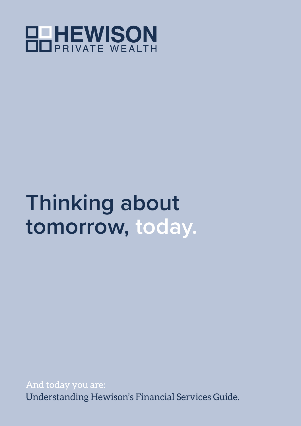

# **Thinking about tomorrow, today.**

And today you are: Understanding Hewison's Financial Services Guide.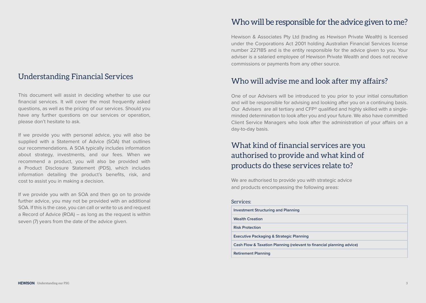#### Understanding Financial Services

This document will assist in deciding whether to use our financial services. It will cover the most frequently asked questions, as well as the pricing of our services. Should you have any further questions on our services or operation, please don't hesitate to ask.

If we provide you with personal advice, you will also be supplied with a Statement of Advice (SOA) that outlines our recommendations. A SOA typically includes information about strategy, investments, and our fees. When we recommend a product, you will also be provided with a Product Disclosure Statement (PDS), which includes information detailing the product's benefits, risk, and cost to assist you in making a decision.

If we provide you with an SOA and then go on to provide further advice, you may not be provided with an additional SOA. If this is the case, you can call or write to us and request a Record of Advice (ROA) – as long as the request is within seven (7) years from the date of the advice given.

#### Who will be responsible for the advice given to me?

Hewison & Associates Pty Ltd (trading as Hewison Private Wealth) is licensed under the Corporations Act 2001 holding Australian Financial Services license number 227185 and is the entity responsible for the advice given to you. Your adviser is a salaried employee of Hewison Private Wealth and does not receive commissions or payments from any other source.

#### Who will advise me and look after my affairs?

One of our Advisers will be introduced to you prior to your initial consultation and will be responsible for advising and looking after you on a continuing basis. Our Advisers are all tertiary and CFP® qualified and highly skilled with a singleminded determination to look after you and your future. We also have committed Client Service Managers who look after the administration of your affairs on a day-to-day basis.

### What kind of financial services are you authorised to provide and what kind of products do these services relate to?

We are authorised to provide you with strategic advice and products encompassing the following areas:

#### Services:

| Investment Structuring and Planning                                   |
|-----------------------------------------------------------------------|
| <b>Wealth Creation</b>                                                |
| <b>Risk Protection</b>                                                |
| <b>Executive Packaging &amp; Strategic Planning</b>                   |
| Cash Flow & Taxation Planning (relevant to financial planning advice) |
| <b>Retirement Planning</b>                                            |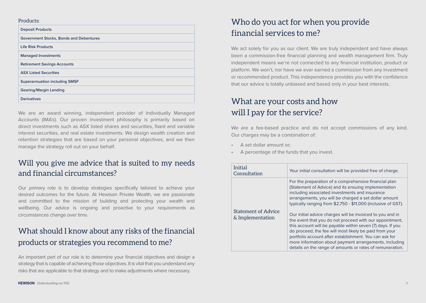#### Products:

| <b>Deposit Products</b>                        |
|------------------------------------------------|
| <b>Government Stocks, Bonds and Debentures</b> |
| <b>Life Risk Products</b>                      |
| <b>Managed Investments</b>                     |
| <b>Retirement Savings Accounts</b>             |
| <b>ASX Listed Securities</b>                   |
| <b>Superannuation including SMSF</b>           |
| <b>Gearing/Margin Lending</b>                  |
| <b>Derivatives</b>                             |

We are an award winning, independent provider of Individually Managed Accounts (IMA's). Our proven investment philosophy is primarily based on direct investments such as ASX listed shares and securities, fixed and variable interest securities, and real estate investments. We design wealth creation and retention strategies that are based on your personal objectives, and we then manage the strategy roll out on your behalf.

#### Will you give me advice that is suited to my needs and financial circumstances?

Our primary role is to develop strategies specifically tailored to achieve your desired outcomes for the future. At Hewison Private Wealth, we are passionate and committed to the mission of building and protecting your wealth and wellbeing. Our advice is ongoing and proactive to your requirements as circumstances change over time.

# What should I know about any risks of the financial products or strategies you recommend to me?

An important part of our role is to determine your financial objectives and design a strategy that is capable of achieving those objectives. It is vital that you understand any risks that are applicable to that strategy and to make adjustments where necessary.

# Who do you act for when you provide financial services to me?

We act solely for you as our client. We are truly independent and have always been a commission-free financial planning and wealth management firm. Truly independent means we're not connected to any financial institution, product or platform. We won't, nor have we ever earned a commission from any investment or recommended product. This independence provides you with the confidence that our advice is totally unbiased and based only in your best interests.

# What are your costs and how will I pay for the service?

We are a fee-based practice and do not accept commissions of any kind. Our charges may be a combination of:

- A set dollar amount or:
- A percentage of the funds that you invest.

| <b>Initial</b><br>Consultation                 | Your initial consultation will be provided free of charge.                                                                                                                                                                                                                                                                                                                                                                                                                                                                                                                                                                                                                                                                 |
|------------------------------------------------|----------------------------------------------------------------------------------------------------------------------------------------------------------------------------------------------------------------------------------------------------------------------------------------------------------------------------------------------------------------------------------------------------------------------------------------------------------------------------------------------------------------------------------------------------------------------------------------------------------------------------------------------------------------------------------------------------------------------------|
| <b>Statement of Advice</b><br>& Implementation | For the preparation of a comprehensive financial plan<br>(Statement of Advice) and its ensuing implementation<br>including associated investments and insurance<br>arrangements, you will be charged a set dollar amount<br>typically ranging from \$2,750 - \$11,000 (inclusive of GST).<br>Our initial advice charges will be invoiced to you and in<br>the event that you do not proceed with our appointment,<br>this account will be payable within seven (7) days. If you<br>do proceed, the fee will most likely be paid from your<br>portfolio account after establishment. You can ask for<br>more information about payment arrangements, including<br>details on the range of amounts or rates of remuneration. |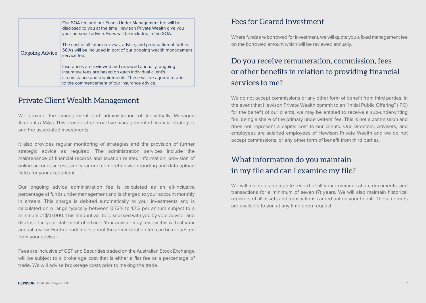|                       | Our SOA fee and our Funds Under Management fee will be<br>disclosed to you at the time Hewison Private Wealth give you<br>your personal advice. Fees will be included in the SOA.                                             |
|-----------------------|-------------------------------------------------------------------------------------------------------------------------------------------------------------------------------------------------------------------------------|
| <b>Ongoing Advice</b> | The cost of all future reviews, advice, and preparation of further<br>SOAs will be included in part of our ongoing wealth management<br>service fee.                                                                          |
|                       | Insurances are reviewed and renewed annually, ongoing<br>insurance fees are based on each individual client's<br>circumstance and requirements. These will be agreed to prior<br>to the commencement of our insurance advice. |

#### Private Client Wealth Management

We provide the management and administration of Individually Managed Accounts (IMAs). This provides the proactive management of financial strategies and the associated investments.

It also provides regular monitoring of strategies and the provision of further strategic advice as required. The administration services include the maintenance of financial records and taxation related information, provision of online account access, and year end comprehensive reporting and data upload fields for your accountant.

Our ongoing advice administration fee is calculated as an all-inclusive percentage of funds under management and is charged to your account monthly in arrears. This charge is debited automatically to your investments and is calculated on a range typically between 0.72% to 1.7% per annum subject to a minimum of \$10,000. This amount will be discussed with you by your adviser and disclosed in your statement of advice. Your adviser may review this with at your annual review. Further particulars about the administration fee can be requested from your adviser.

Fees are inclusive of GST and Securities traded on the Australian Stock Exchange will be subject to a brokerage cost that is either a flat fee or a percentage of trade. We will advise brokerage costs prior to making the trade.

#### Fees for Geared Investment

Where funds are borrowed for investment, we will quote you a fixed management fee on the borrowed amount which will be reviewed annually.

# Do you receive remuneration, commission, fees or other benefits in relation to providing financial services to me?

We do not accept commissions or any other form of benefit from third parties. In the event that Hewison Private Wealth commit to an "Initial Public Offering" (IPO) for the benefit of our clients, we may be entitled to receive a sub-underwriting fee, being a share of the primary underwriters' fee. This is not a commission and does not represent a capital cost to our clients. Our Directors, Advisers, and employees are salaried employees of Hewison Private Wealth and we do not accept commissions, or any other form of benefit from third parties.

### What information do you maintain in my file and can I examine my file?

We will maintain a complete record of all your communication, documents, and transactions for a minimum of seven (7) years. We will also maintain historical registers of all assets and transactions carried out on your behalf. These records are available to you at any time upon request.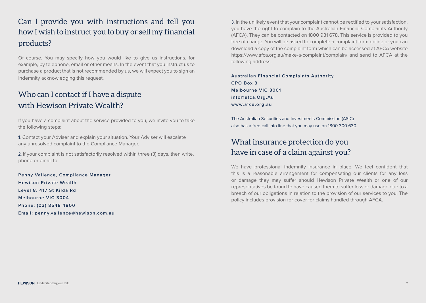# Can I provide you with instructions and tell you how I wish to instruct you to buy or sell my financial products?

Of course. You may specify how you would like to give us instructions, for example, by telephone, email or other means. In the event that you instruct us to purchase a product that is not recommended by us, we will expect you to sign an indemnity acknowledging this request.

# Who can I contact if I have a dispute with Hewison Private Wealth?

If you have a complaint about the service provided to you, we invite you to take the following steps:

1. Contact your Adviser and explain your situation. Your Adviser will escalate any unresolved complaint to the Compliance Manager.

2. If your complaint is not satisfactorily resolved within three (3) days, then write, phone or email to:

**Penny Vallence, Compliance Manager Hewison Private Wealth Level 8, 417 St Kilda Rd Melbourne VIC 3004 Phone: (03) 8548 4800 Email: penny.vallence@hewison.com.au**

3. In the unlikely event that your complaint cannot be rectified to your satisfaction, you have the right to complain to the Australian Financial Complaints Authority (AFCA). They can be contacted on 1800 931 678. This service is provided to you free of charge. You will be asked to complete a complaint form online or you can download a copy of the complaint form which can be accessed at AFCA website https://www.afca.org.au/make-a-complaint/complain/ and send to AFCA at the following address.

**Australian Financial Complaints Authority GPO Box 3 Melbourne VIC 3001 info@afca.Org.Au www.afca.org.au** 

The Australian Securities and Investments Commission (ASIC) also has a free call info line that you may use on 1800 300 630.

#### What insurance protection do you have in case of a claim against you?

We have professional indemnity insurance in place. We feel confident that this is a reasonable arrangement for compensating our clients for any loss or damage they may suffer should Hewison Private Wealth or one of our representatives be found to have caused them to suffer loss or damage due to a breach of our obligations in relation to the provision of our services to you. The policy includes provision for cover for claims handled through AFCA.